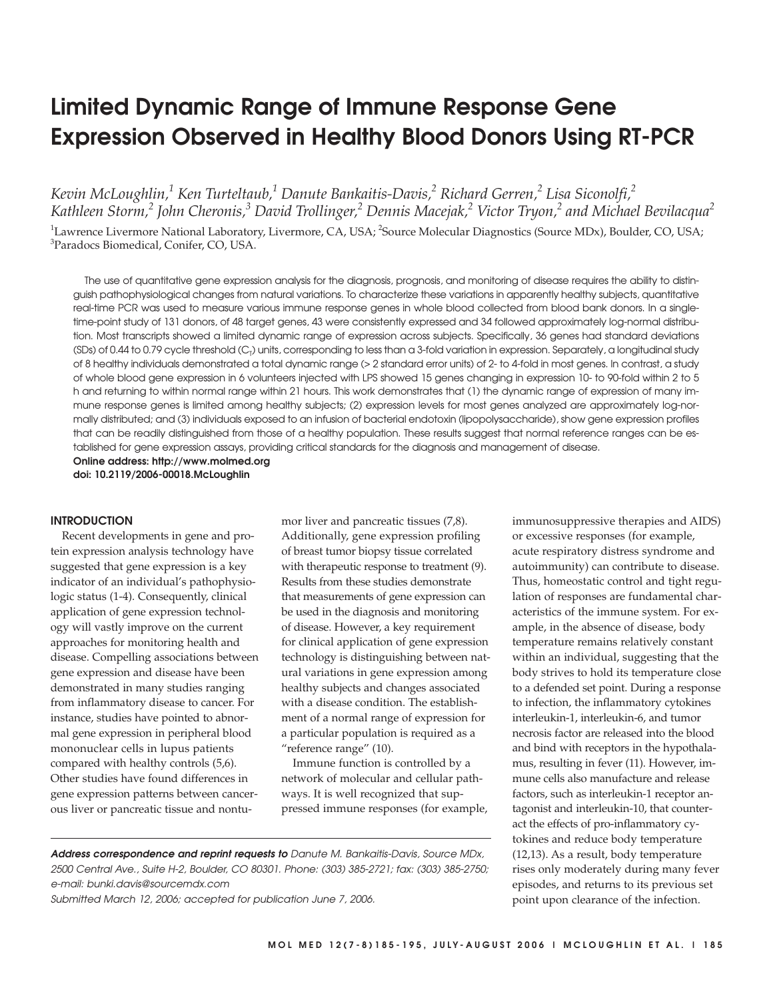# **Limited Dynamic Range of Immune Response Gene Expression Observed in Healthy Blood Donors Using RT-PCR**

*Kevin McLoughlin,1 Ken Turteltaub,1 Danute Bankaitis-Davis,2 Richard Gerren,2 Lisa Siconolfi,2 Kathleen Storm,2 John Cheronis,3 David Trollinger,2 Dennis Macejak,2 Victor Tryon,2 and Michael Bevilacqua2* <sup>1</sup>Lawrence Livermore National Laboratory, Livermore, CA, USA; <sup>2</sup>Source Molecular Diagnostics (Source MDx), Boulder, CO, USA;

3 Paradocs Biomedical, Conifer, CO, USA.

The use of quantitative gene expression analysis for the diagnosis, prognosis, and monitoring of disease requires the ability to distinguish pathophysiological changes from natural variations. To characterize these variations in apparently healthy subjects, quantitative real-time PCR was used to measure various immune response genes in whole blood collected from blood bank donors. In a singletime-point study of 131 donors, of 48 target genes, 43 were consistently expressed and 34 followed approximately log-normal distribution. Most transcripts showed a limited dynamic range of expression across subjects. Specifically, 36 genes had standard deviations (SDs) of 0.44 to 0.79 cycle threshold (C<sub>T</sub>) units, corresponding to less than a 3-fold variation in expression. Separately, a longitudinal study of 8 healthy individuals demonstrated a total dynamic range (> 2 standard error units) of 2- to 4-fold in most genes. In contrast, a study of whole blood gene expression in 6 volunteers injected with LPS showed 15 genes changing in expression 10- to 90-fold within 2 to 5 h and returning to within normal range within 21 hours. This work demonstrates that (1) the dynamic range of expression of many immune response genes is limited among healthy subjects; (2) expression levels for most genes analyzed are approximately log-normally distributed; and (3) individuals exposed to an infusion of bacterial endotoxin (lipopolysaccharide), show gene expression profiles that can be readily distinguished from those of a healthy population. These results suggest that normal reference ranges can be established for gene expression assays, providing critical standards for the diagnosis and management of disease. **Online address: http://www.molmed.org**

**doi: 10.2119/2006-00018.McLoughlin**

## **INTRODUCTION**

Recent developments in gene and protein expression analysis technology have suggested that gene expression is a key indicator of an individual's pathophysiologic status (1-4). Consequently, clinical application of gene expression technology will vastly improve on the current approaches for monitoring health and disease. Compelling associations between gene expression and disease have been demonstrated in many studies ranging from inflammatory disease to cancer. For instance, studies have pointed to abnormal gene expression in peripheral blood mononuclear cells in lupus patients compared with healthy controls (5,6). Other studies have found differences in gene expression patterns between cancerous liver or pancreatic tissue and nontumor liver and pancreatic tissues (7,8). Additionally, gene expression profiling of breast tumor biopsy tissue correlated with therapeutic response to treatment (9). Results from these studies demonstrate that measurements of gene expression can be used in the diagnosis and monitoring of disease. However, a key requirement for clinical application of gene expression technology is distinguishing between natural variations in gene expression among healthy subjects and changes associated with a disease condition. The establishment of a normal range of expression for a particular population is required as a "reference range" (10).

Immune function is controlled by a network of molecular and cellular pathways. It is well recognized that suppressed immune responses (for example, temperature remains relatively constant within an individual, suggesting that the body strives to hold its temperature close to a defended set point. During a response to infection, the inflammatory cytokines interleukin-1, interleukin-6, and tumor necrosis factor are released into the blood and bind with receptors in the hypothalamus, resulting in fever (11). However, immune cells also manufacture and release factors, such as interleukin-1 receptor antagonist and interleukin-10, that counteract the effects of pro-inflammatory cytokines and reduce body temperature (12,13). As a result, body temperature rises only moderately during many fever episodes, and returns to its previous set point upon clearance of the infection.

immunosuppressive therapies and AIDS) or excessive responses (for example, acute respiratory distress syndrome and autoimmunity) can contribute to disease. Thus, homeostatic control and tight regulation of responses are fundamental characteristics of the immune system. For example, in the absence of disease, body

**Address correspondence and reprint requests to** Danute M. Bankaitis-Davis, Source MDx, 2500 Central Ave., Suite H-2, Boulder, CO 80301. Phone: (303) 385-2721; fax: (303) 385-2750; e-mail: bunki.davis@sourcemdx.com

Submitted March 12, 2006; accepted for publication June 7, 2006.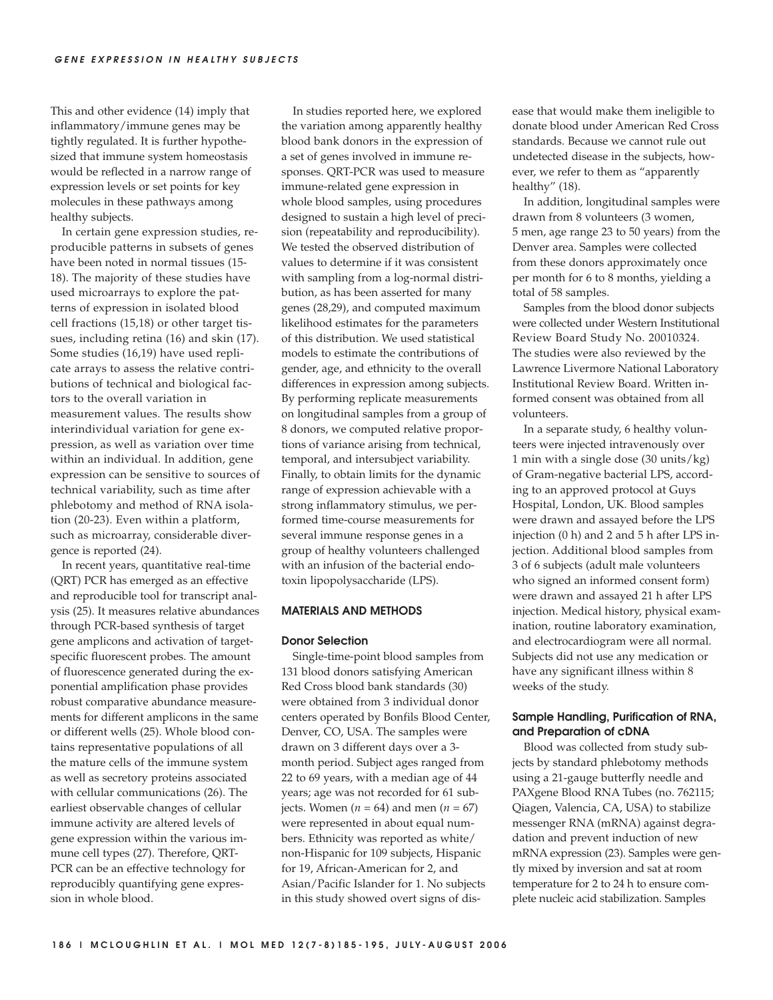This and other evidence (14) imply that inflammatory/immune genes may be tightly regulated. It is further hypothesized that immune system homeostasis would be reflected in a narrow range of expression levels or set points for key molecules in these pathways among healthy subjects.

In certain gene expression studies, reproducible patterns in subsets of genes have been noted in normal tissues (15- 18). The majority of these studies have used microarrays to explore the patterns of expression in isolated blood cell fractions (15,18) or other target tissues, including retina (16) and skin (17). Some studies (16,19) have used replicate arrays to assess the relative contributions of technical and biological factors to the overall variation in measurement values. The results show interindividual variation for gene expression, as well as variation over time within an individual. In addition, gene expression can be sensitive to sources of technical variability, such as time after phlebotomy and method of RNA isolation (20-23). Even within a platform, such as microarray, considerable divergence is reported (24).

In recent years, quantitative real-time (QRT) PCR has emerged as an effective and reproducible tool for transcript analysis (25). It measures relative abundances through PCR-based synthesis of target gene amplicons and activation of targetspecific fluorescent probes. The amount of fluorescence generated during the exponential amplification phase provides robust comparative abundance measurements for different amplicons in the same or different wells (25). Whole blood contains representative populations of all the mature cells of the immune system as well as secretory proteins associated with cellular communications (26). The earliest observable changes of cellular immune activity are altered levels of gene expression within the various immune cell types (27). Therefore, QRT-PCR can be an effective technology for reproducibly quantifying gene expression in whole blood.

In studies reported here, we explored the variation among apparently healthy blood bank donors in the expression of a set of genes involved in immune responses. QRT-PCR was used to measure immune-related gene expression in whole blood samples, using procedures designed to sustain a high level of precision (repeatability and reproducibility). We tested the observed distribution of values to determine if it was consistent with sampling from a log-normal distribution, as has been asserted for many genes (28,29), and computed maximum likelihood estimates for the parameters of this distribution. We used statistical models to estimate the contributions of gender, age, and ethnicity to the overall differences in expression among subjects. By performing replicate measurements on longitudinal samples from a group of 8 donors, we computed relative proportions of variance arising from technical, temporal, and intersubject variability. Finally, to obtain limits for the dynamic range of expression achievable with a strong inflammatory stimulus, we performed time-course measurements for several immune response genes in a group of healthy volunteers challenged with an infusion of the bacterial endotoxin lipopolysaccharide (LPS).

## **MATERIALS AND METHODS**

#### **Donor Selection**

Single-time-point blood samples from 131 blood donors satisfying American Red Cross blood bank standards (30) were obtained from 3 individual donor centers operated by Bonfils Blood Center, Denver, CO, USA. The samples were drawn on 3 different days over a 3 month period. Subject ages ranged from 22 to 69 years, with a median age of 44 years; age was not recorded for 61 subjects. Women ( $n = 64$ ) and men ( $n = 67$ ) were represented in about equal numbers. Ethnicity was reported as white/ non-Hispanic for 109 subjects, Hispanic for 19, African-American for 2, and Asian/Pacific Islander for 1. No subjects in this study showed overt signs of disease that would make them ineligible to donate blood under American Red Cross standards. Because we cannot rule out undetected disease in the subjects, however, we refer to them as "apparently healthy" (18).

In addition, longitudinal samples were drawn from 8 volunteers (3 women, 5 men, age range 23 to 50 years) from the Denver area. Samples were collected from these donors approximately once per month for 6 to 8 months, yielding a total of 58 samples.

Samples from the blood donor subjects were collected under Western Institutional Review Board Study No. 20010324. The studies were also reviewed by the Lawrence Livermore National Laboratory Institutional Review Board. Written informed consent was obtained from all volunteers.

In a separate study, 6 healthy volunteers were injected intravenously over 1 min with a single dose (30 units/kg) of Gram-negative bacterial LPS, according to an approved protocol at Guys Hospital, London, UK. Blood samples were drawn and assayed before the LPS injection (0 h) and 2 and 5 h after LPS injection. Additional blood samples from 3 of 6 subjects (adult male volunteers who signed an informed consent form) were drawn and assayed 21 h after LPS injection. Medical history, physical examination, routine laboratory examination, and electrocardiogram were all normal. Subjects did not use any medication or have any significant illness within 8 weeks of the study.

## **Sample Handling, Purification of RNA, and Preparation of cDNA**

Blood was collected from study subjects by standard phlebotomy methods using a 21-gauge butterfly needle and PAXgene Blood RNA Tubes (no. 762115; Qiagen, Valencia, CA, USA) to stabilize messenger RNA (mRNA) against degradation and prevent induction of new mRNA expression (23). Samples were gently mixed by inversion and sat at room temperature for 2 to 24 h to ensure complete nucleic acid stabilization. Samples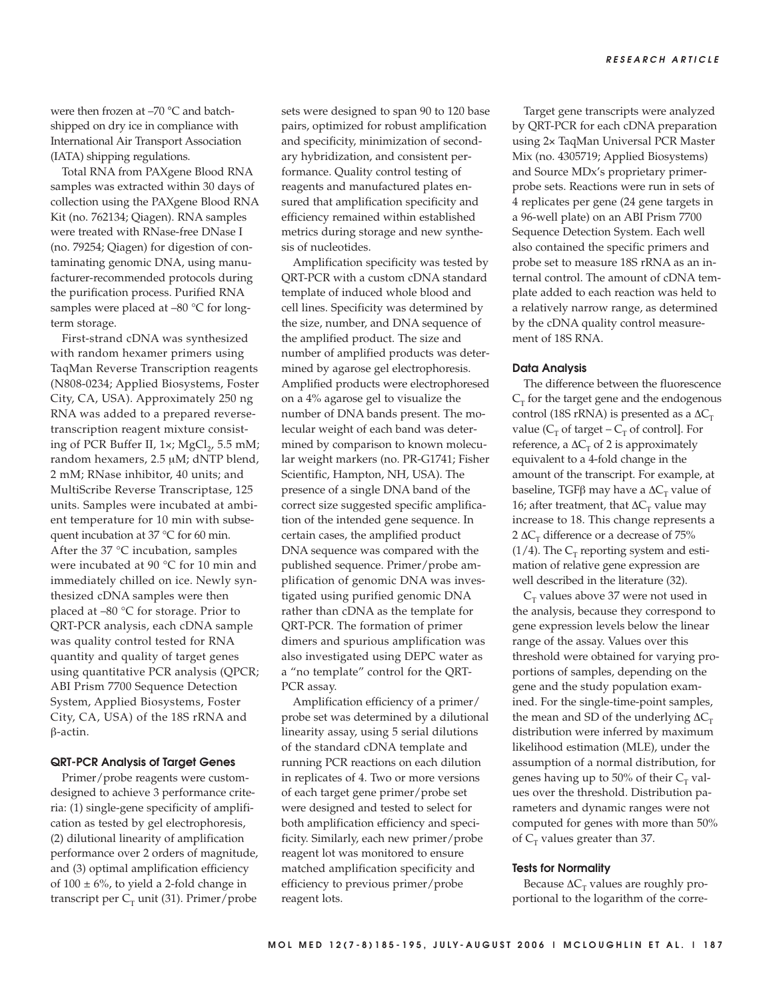were then frozen at –70 °C and batchshipped on dry ice in compliance with International Air Transport Association (IATA) shipping regulations.

Total RNA from PAXgene Blood RNA samples was extracted within 30 days of collection using the PAXgene Blood RNA Kit (no. 762134; Qiagen). RNA samples were treated with RNase-free DNase I (no. 79254; Qiagen) for digestion of contaminating genomic DNA, using manufacturer-recommended protocols during the purification process. Purified RNA samples were placed at -80 °C for longterm storage.

First-strand cDNA was synthesized with random hexamer primers using TaqMan Reverse Transcription reagents (N808-0234; Applied Biosystems, Foster City, CA, USA). Approximately 250 ng RNA was added to a prepared reversetranscription reagent mixture consisting of PCR Buffer II, 1x; MgCl<sub>2</sub>, 5.5 mM; random hexamers, 2.5 μM; dNTP blend, 2 mM; RNase inhibitor, 40 units; and MultiScribe Reverse Transcriptase, 125 units. Samples were incubated at ambient temperature for 10 min with subsequent incubation at 37 °C for 60 min. After the 37 °C incubation, samples were incubated at 90 °C for 10 min and immediately chilled on ice. Newly synthesized cDNA samples were then placed at –80 °C for storage. Prior to QRT-PCR analysis, each cDNA sample was quality control tested for RNA quantity and quality of target genes using quantitative PCR analysis (QPCR; ABI Prism 7700 Sequence Detection System, Applied Biosystems, Foster City, CA, USA) of the 18S rRNA and β-actin.

## **QRT-PCR Analysis of Target Genes**

Primer/probe reagents were customdesigned to achieve 3 performance criteria: (1) single-gene specificity of amplification as tested by gel electrophoresis, (2) dilutional linearity of amplification performance over 2 orders of magnitude, and (3) optimal amplification efficiency of  $100 \pm 6\%$ , to yield a 2-fold change in transcript per  $C_T$  unit (31). Primer/probe

sets were designed to span 90 to 120 base pairs, optimized for robust amplification and specificity, minimization of secondary hybridization, and consistent performance. Quality control testing of reagents and manufactured plates ensured that amplification specificity and efficiency remained within established metrics during storage and new synthesis of nucleotides.

Amplification specificity was tested by QRT-PCR with a custom cDNA standard template of induced whole blood and cell lines. Specificity was determined by the size, number, and DNA sequence of the amplified product. The size and number of amplified products was determined by agarose gel electrophoresis. Amplified products were electrophoresed on a 4% agarose gel to visualize the number of DNA bands present. The molecular weight of each band was determined by comparison to known molecular weight markers (no. PR-G1741; Fisher Scientific, Hampton, NH, USA). The presence of a single DNA band of the correct size suggested specific amplification of the intended gene sequence. In certain cases, the amplified product DNA sequence was compared with the published sequence. Primer/probe amplification of genomic DNA was investigated using purified genomic DNA rather than cDNA as the template for QRT-PCR. The formation of primer dimers and spurious amplification was also investigated using DEPC water as a "no template" control for the QRT-PCR assay.

Amplification efficiency of a primer/ probe set was determined by a dilutional linearity assay, using 5 serial dilutions of the standard cDNA template and running PCR reactions on each dilution in replicates of 4. Two or more versions of each target gene primer/probe set were designed and tested to select for both amplification efficiency and specificity. Similarly, each new primer/probe reagent lot was monitored to ensure matched amplification specificity and efficiency to previous primer/probe reagent lots.

Target gene transcripts were analyzed by QRT-PCR for each cDNA preparation using 2× TaqMan Universal PCR Master Mix (no. 4305719; Applied Biosystems) and Source MDx's proprietary primerprobe sets. Reactions were run in sets of 4 replicates per gene (24 gene targets in a 96-well plate) on an ABI Prism 7700 Sequence Detection System. Each well also contained the specific primers and probe set to measure 18S rRNA as an internal control. The amount of cDNA template added to each reaction was held to a relatively narrow range, as determined by the cDNA quality control measurement of 18S RNA.

#### **Data Analysis**

The difference between the fluorescence  $C<sub>T</sub>$  for the target gene and the endogenous control (18S rRNA) is presented as a  $\Delta C_T$ value ( $C_T$  of target –  $C_T$  of control]. For reference, a  $\Delta C_T$  of 2 is approximately equivalent to a 4-fold change in the amount of the transcript. For example, at baseline, TGFβ may have a  $ΔC<sub>T</sub>$  value of 16; after treatment, that  $\Delta C_T$  value may increase to 18. This change represents a 2  $\Delta C$ <sub>T</sub> difference or a decrease of 75%  $(1/4)$ . The C<sub>T</sub> reporting system and estimation of relative gene expression are well described in the literature (32).

 $C<sub>T</sub>$  values above 37 were not used in the analysis, because they correspond to gene expression levels below the linear range of the assay. Values over this threshold were obtained for varying proportions of samples, depending on the gene and the study population examined. For the single-time-point samples, the mean and SD of the underlying  $\Delta C_{\rm T}$ distribution were inferred by maximum likelihood estimation (MLE), under the assumption of a normal distribution, for genes having up to 50% of their  $C_T$  values over the threshold. Distribution parameters and dynamic ranges were not computed for genes with more than 50% of  $C_T$  values greater than 37.

#### **Tests for Normality**

Because  $\Delta C_T$  values are roughly proportional to the logarithm of the corre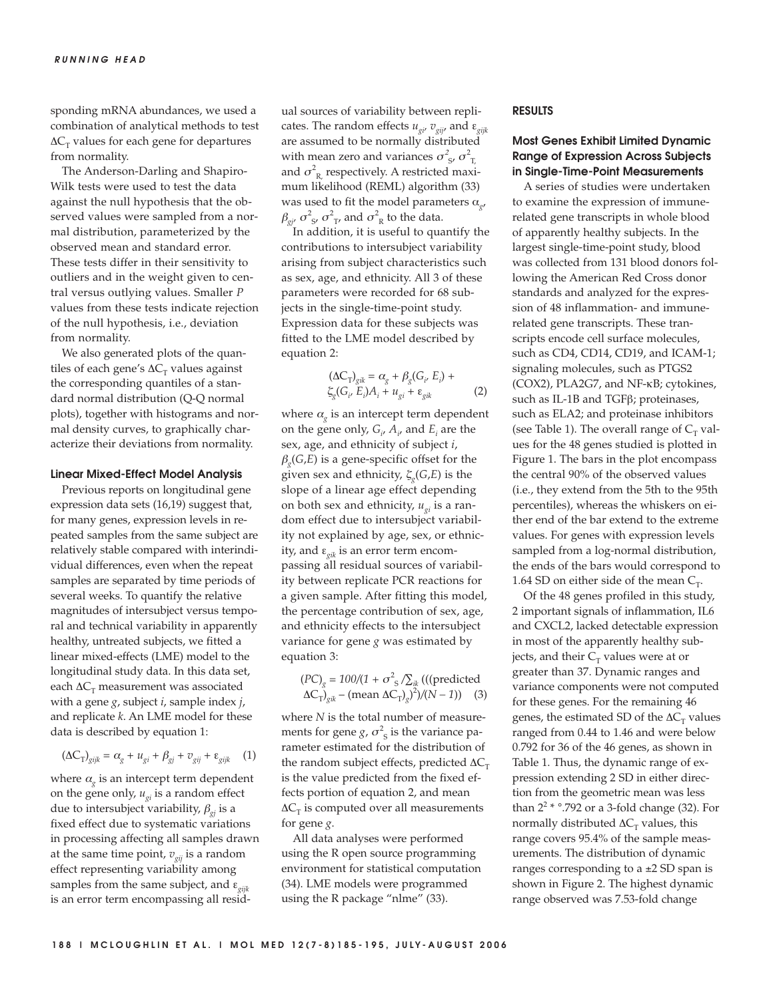sponding mRNA abundances, we used a combination of analytical methods to test  $\Delta C_T$  values for each gene for departures from normality.

The Anderson-Darling and Shapiro-Wilk tests were used to test the data against the null hypothesis that the observed values were sampled from a normal distribution, parameterized by the observed mean and standard error. These tests differ in their sensitivity to outliers and in the weight given to central versus outlying values. Smaller *P* values from these tests indicate rejection of the null hypothesis, i.e., deviation from normality.

We also generated plots of the quantiles of each gene's  $\Delta C_T$  values against the corresponding quantiles of a standard normal distribution (Q-Q normal plots), together with histograms and normal density curves, to graphically characterize their deviations from normality.

#### **Linear Mixed-Effect Model Analysis**

Previous reports on longitudinal gene expression data sets (16,19) suggest that, for many genes, expression levels in repeated samples from the same subject are relatively stable compared with interindividual differences, even when the repeat samples are separated by time periods of several weeks. To quantify the relative magnitudes of intersubject versus temporal and technical variability in apparently healthy, untreated subjects, we fitted a linear mixed-effects (LME) model to the longitudinal study data. In this data set, each  $\Delta C_T$  measurement was associated with a gene *g*, subject *i*, sample index *j*, and replicate *k*. An LME model for these data is described by equation 1:

$$
(\Delta C_{\rm T})_{gijk} = \alpha_g + u_{gi} + \beta_{gj} + v_{gij} + \varepsilon_{gijk} \tag{1}
$$

where  $\alpha_{\varphi}$  is an intercept term dependent on the gene only,  $u_{gi}$  is a random effect due to intersubject variability, β*gj* is a fixed effect due to systematic variations in processing affecting all samples drawn at the same time point,  $v_{\text{o}ij}$  is a random effect representing variability among samples from the same subject, and ε<sub>σijk</sub> is an error term encompassing all residual sources of variability between replicates. The random effects  $u_{gi}$ ,  $v_{gij}$  and  $\varepsilon_{gijk}$ are assumed to be normally distributed with mean zero and variances  $\sigma_{s}^2$ ,  $\sigma_{T}^2$ and  $\sigma_{\rm R}^2$  respectively. A restricted maximum likelihood (REML) algorithm (33) was used to fit the model parameters α*g*,  $\beta_{gi'} \sigma_{s'}^2 \sigma_{T'}^2$  and  $\sigma_{R}^2$  to the data.

In addition, it is useful to quantify the contributions to intersubject variability arising from subject characteristics such as sex, age, and ethnicity. All 3 of these parameters were recorded for 68 subjects in the single-time-point study. Expression data for these subjects was fitted to the LME model described by equation 2:

$$
(\Delta C_{T})_{gik} = \alpha_{g} + \beta_{g}(G_{i}, E_{i}) +
$$
  
\n
$$
\xi_{g}(G_{i}, E_{i})A_{i} + u_{gi} + \varepsilon_{gik}
$$
 (2)

where  $\alpha_{\sigma}$  is an intercept term dependent on the gene only,  $G_i$ ,  $A_i$ , and  $E_i$  are the sex, age, and ethnicity of subject *i*,  $\beta_{\alpha}(G,E)$  is a gene-specific offset for the given sex and ethnicity,  $\zeta_a(G,E)$  is the slope of a linear age effect depending on both sex and ethnicity,  $u_{\sigma i}$  is a random effect due to intersubject variability not explained by age, sex, or ethnicity, and ε<sub>σik</sub> is an error term encompassing all residual sources of variability between replicate PCR reactions for a given sample. After fitting this model, the percentage contribution of sex, age, and ethnicity effects to the intersubject variance for gene *g* was estimated by equation 3:

$$
(PC)_g = 100/(1 + \sigma^2 \text{S} / \sum_{ik} (((predicted \Delta C_T)_{gik} - (mean \Delta C_T)_{g})^2)/(N - 1))
$$
 (3)

where *N* is the total number of measurements for gene  $g, \sigma^2$ <sub>s</sub> is the variance parameter estimated for the distribution of the random subject effects, predicted  $\Delta C_T$ is the value predicted from the fixed effects portion of equation 2, and mean  $\Delta C$ <sub>T</sub> is computed over all measurements for gene *g*.

All data analyses were performed using the R open source programming environment for statistical computation (34). LME models were programmed using the R package "nlme" (33).

## **RESULTS**

# **Most Genes Exhibit Limited Dynamic Range of Expression Across Subjects in Single-Time-Point Measurements**

A series of studies were undertaken to examine the expression of immunerelated gene transcripts in whole blood of apparently healthy subjects. In the largest single-time-point study, blood was collected from 131 blood donors following the American Red Cross donor standards and analyzed for the expression of 48 inflammation- and immunerelated gene transcripts. These transcripts encode cell surface molecules, such as CD4, CD14, CD19, and ICAM-1; signaling molecules, such as PTGS2 (COX2), PLA2G7, and NF-κB; cytokines, such as IL-1B and TGFβ; proteinases, such as ELA2; and proteinase inhibitors (see Table 1). The overall range of  $C<sub>r</sub>$  values for the 48 genes studied is plotted in Figure 1. The bars in the plot encompass the central 90% of the observed values (i.e., they extend from the 5th to the 95th percentiles), whereas the whiskers on either end of the bar extend to the extreme values. For genes with expression levels sampled from a log-normal distribution, the ends of the bars would correspond to 1.64 SD on either side of the mean  $C_T$ .

Of the 48 genes profiled in this study, 2 important signals of inflammation, IL6 and CXCL2, lacked detectable expression in most of the apparently healthy subjects, and their  $C_T$  values were at or greater than 37. Dynamic ranges and variance components were not computed for these genes. For the remaining 46 genes, the estimated SD of the  $\Delta C_{\text{r}}$  values ranged from 0.44 to 1.46 and were below 0.792 for 36 of the 46 genes, as shown in Table 1. Thus, the dynamic range of expression extending 2 SD in either direction from the geometric mean was less than  $2^2$  \*  $\degree$ .792 or a 3-fold change (32). For normally distributed  $\Delta C_T$  values, this range covers 95.4% of the sample measurements. The distribution of dynamic ranges corresponding to a  $\pm 2$  SD span is shown in Figure 2. The highest dynamic range observed was 7.53-fold change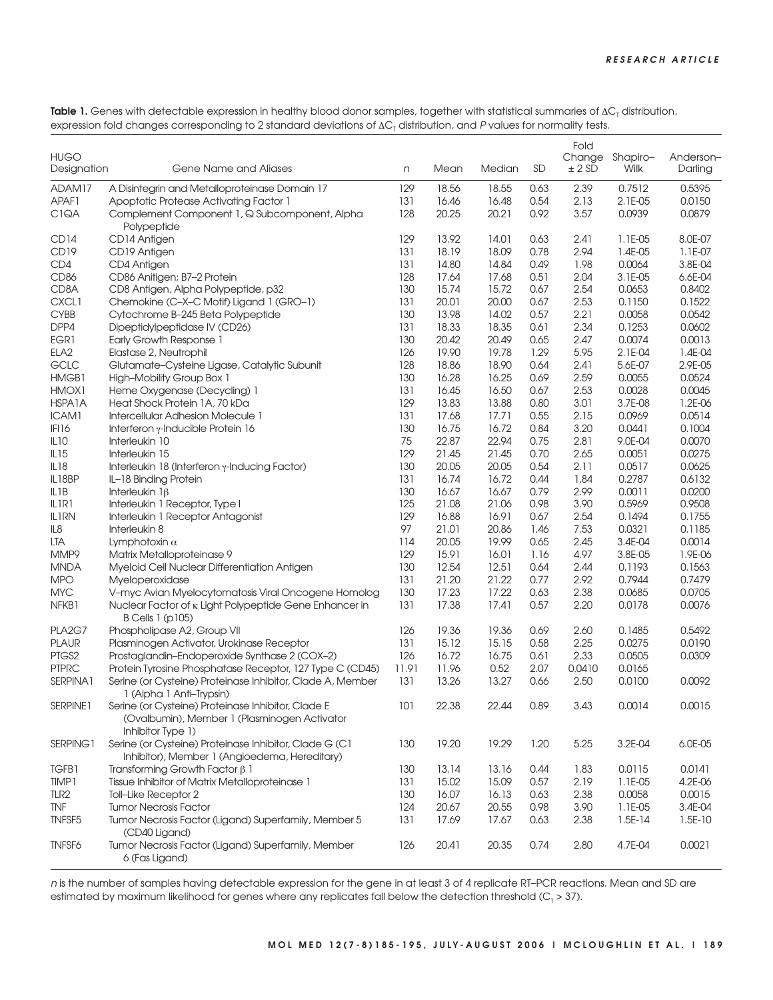Table 1. Genes with detectable expression in healthy blood donor samples, together with statistical summaries of ΔC<sub>T</sub> distribution, expression fold changes corresponding to 2 standard deviations of  $\Delta C_T$  distribution, and P values for normality tests.

| <b>HUGO</b><br>Designation | Gene Name and Aliases                                                                                                   | n     | Mean  | Median | <b>SD</b> | Fold<br>Change<br>$± 2$ SD | Shapiro-<br>Wilk | Anderson-<br>Darling |
|----------------------------|-------------------------------------------------------------------------------------------------------------------------|-------|-------|--------|-----------|----------------------------|------------------|----------------------|
| ADAM17                     | A Disintegrin and Metalloproteinase Domain 17                                                                           | 129   | 18.56 | 18.55  | 0.63      | 2.39                       | 0.7512           | 0.5395               |
| APAF1                      | Apoptotic Protease Activating Factor 1                                                                                  | 131   | 16.46 | 16.48  | 0.54      | 2.13                       | 2.1E-05          | 0.0150               |
| C <sub>1</sub> QA          | Complement Component 1, Q Subcomponent, Alpha                                                                           | 128   | 20.25 | 20.21  | 0.92      | 3.57                       | 0.0939           | 0.0879               |
|                            | Polypeptide                                                                                                             |       |       |        |           |                            |                  |                      |
| CD14                       | CD14 Antigen                                                                                                            | 129   | 13.92 | 14.01  | 0.63      | 2.41                       | 1.1E-05          | 8.0E-07              |
| CD19                       | CD19 Antigen                                                                                                            | 131   | 18.19 | 18.09  | 0.78      | 2.94                       | 1.4E-05          | 1.1E-07              |
| CD4                        | CD4 Antigen                                                                                                             | 131   | 14.80 | 14.84  | 0.49      | 1.98                       | 0.0064           | 3.8E-04              |
| <b>CD86</b>                | CD86 Anitigen; B7-2 Protein                                                                                             | 128   | 17.64 | 17.68  | 0.51      | 2.04                       | 3.1E-05          | 6.6E-04              |
|                            | CD8 Antigen, Alpha Polypeptide, p32                                                                                     | 130   | 15.74 | 15.72  |           |                            |                  |                      |
| CD8A                       |                                                                                                                         |       |       |        | 0.67      | 2.54                       | 0.0653           | 0.8402               |
| <b>CXCL1</b>               | Chemokine (C-X-C Motif) Ligand 1 (GRO-1)                                                                                | 131   | 20.01 | 20.00  | 0.67      | 2.53                       | 0.1150           | 0.1522               |
| <b>CYBB</b>                | Cytochrome B-245 Beta Polypeptide                                                                                       | 130   | 13.98 | 14.02  | 0.57      | 2.21                       | 0.0058           | 0.0542               |
| DPP4                       | Dipeptidylpeptidase IV (CD26)                                                                                           | 131   | 18.33 | 18.35  | 0.61      | 2.34                       | 0.1253           | 0.0602               |
| EGR1                       | Early Growth Response 1                                                                                                 | 130   | 20.42 | 20.49  | 0.65      | 2.47                       | 0.0074           | 0.0013               |
| ELA <sub>2</sub>           | Elastase 2, Neutrophil                                                                                                  | 126   | 19.90 | 19.78  | 1.29      | 5.95                       | 2.1E-04          | 1.4E-04              |
| GCLC                       | Glutamate-Cysteine Ligase, Catalytic Subunit                                                                            | 128   | 18.86 | 18.90  | 0.64      | 2.41                       | 5.6E-07          | 2.9E-05              |
| HMGB1                      | High-Mobility Group Box 1                                                                                               | 130   | 16.28 | 16.25  | 0.69      | 2.59                       | 0.0055           | 0.0524               |
| HMOX1                      | Heme Oxygenase (Decycling) 1                                                                                            | 131   | 16.45 | 16.50  | 0.67      | 2.53                       | 0.0028           | 0.0045               |
| HSPA1A                     | Heat Shock Protein 1A, 70 kDa                                                                                           | 129   | 13.83 | 13.88  | 0.80      | 3.01                       | 3.7E-08          | 1.2E-06              |
| ICAM1                      | Intercellular Adhesion Molecule 1                                                                                       | 131   | 17.68 | 17.71  | 0.55      | 2.15                       | 0.0969           | 0.0514               |
| IFI16                      | Interferon $\gamma$ -Inducible Protein 16                                                                               | 130   | 16.75 | 16.72  | 0.84      | 3.20                       | 0.0441           | 0.1004               |
| IL10                       | Interleukin 10                                                                                                          | 75    | 22.87 | 22.94  | 0.75      | 2.81                       | 9.0E-04          | 0.0070               |
| IL <sub>15</sub>           | Interleukin 15                                                                                                          | 129   | 21.45 | 21.45  | 0.70      | 2.65                       | 0.0051           | 0.0275               |
| IL18                       | Interleukin 18 (Interferon y-Inducing Factor)                                                                           | 130   | 20.05 | 20.05  | 0.54      | 2.11                       | 0.0517           | 0.0625               |
| IL18BP                     | IL-18 Binding Protein                                                                                                   | 131   | 16.74 | 16.72  | 0.44      | 1.84                       | 0.2787           | 0.6132               |
| IL <sub>1</sub> B          | Interleukin $1\beta$                                                                                                    | 130   | 16.67 | 16.67  | 0.79      | 2.99                       | 0.0011           | 0.0200               |
| ILIRI                      | Interleukin 1 Receptor, Type I                                                                                          | 125   | 21.08 | 21.06  | 0.98      | 3.90                       | 0.5969           | 0.9508               |
| <b>IL1RN</b>               |                                                                                                                         | 129   | 16.88 | 16.91  | 0.67      | 2.54                       | 0.1494           | 0.1755               |
|                            | Interleukin 1 Receptor Antagonist                                                                                       | 97    |       | 20.86  |           |                            |                  |                      |
| IL8                        | Interleukin 8                                                                                                           |       | 21.01 |        | 1.46      | 7.53                       | 0.0321           | 0.1185               |
| LTA                        | Lymphotoxin $\alpha$                                                                                                    | 114   | 20.05 | 19.99  | 0.65      | 2.45                       | 3.4E-04          | 0.0014               |
| MMP9                       | Matrix Metalloproteinase 9                                                                                              | 129   | 15.91 | 16.01  | 1.16      | 4.97                       | 3.8E-05          | 1.9E-06              |
| <b>MNDA</b>                | Myeloid Cell Nuclear Differentiation Antigen                                                                            | 130   | 12.54 | 12.51  | 0.64      | 2.44                       | 0.1193           | 0.1563               |
| <b>MPO</b>                 | Myeloperoxidase                                                                                                         | 131   | 21.20 | 21.22  | 0.77      | 2.92                       | 0.7944           | 0.7479               |
| <b>MYC</b>                 | V-myc Avian Myelocytomatosis Viral Oncogene Homolog                                                                     | 130   | 17.23 | 17.22  | 0.63      | 2.38                       | 0.0685           | 0.0705               |
| NFKB1                      | Nuclear Factor of K Light Polypeptide Gene Enhancer in<br><b>B Cells 1 (p105)</b>                                       | 131   | 17.38 | 17.41  | 0.57      | 2.20                       | 0.0178           | 0.0076               |
| PLA2G7                     | Phospholipase A2, Group VII                                                                                             | 126   | 19.36 | 19.36  | 0.69      | 2.60                       | 0.1485           | 0.5492               |
| <b>PLAUR</b>               | Plasminogen Activator, Urokinase Receptor                                                                               | 131   | 15.12 | 15.15  | 0.58      | 2.25                       | 0.0275           | 0.0190               |
| PTGS2                      | Prostaglandin-Endoperoxide Synthase 2 (COX-2)                                                                           | 126   | 16.72 | 16.75  | 0.61      | 2.33                       | 0.0505           | 0.0309               |
| <b>PTPRC</b>               | Protein Tyrosine Phosphatase Receptor, 127 Type C (CD45)                                                                | 11.91 | 11.96 | 0.52   | 2.07      | 0.0410                     | 0.0165           |                      |
| SERPINA1                   | Serine (or Cysteine) Proteinase Inhibitor, Clade A, Member<br>1 (Alpha 1 Anti-Trypsin)                                  | 131   | 13.26 | 13.27  | 0.66      | 2.50                       | 0.0100           | 0.0092               |
| SERPINE1                   | Serine (or Cysteine) Proteinase Inhibitor, Clade E<br>(Ovalbumin), Member 1 (Plasminogen Activator<br>Inhibitor Type 1) | 101   | 22.38 | 22.44  | 0.89      | 3.43                       | 0.0014           | 0.0015               |
| SERPING1                   | Serine (or Cysteine) Proteinase Inhibitor, Clade G (C1<br>Inhibitor), Member 1 (Angioedema, Hereditary)                 | 130   | 19.20 | 19.29  | 1.20      | 5.25                       | 3.2E-04          | 6.0E-05              |
| <b>TGFB1</b>               | Transforming Growth Factor $\beta$ 1                                                                                    | 130   | 13.14 | 13.16  | 0.44      | 1.83                       | 0.0115           | 0.0141               |
| TIMP1                      | Tissue Inhibitor of Matrix Metalloproteinase 1                                                                          | 131   | 15.02 | 15.09  | 0.57      | 2.19                       | 1.1E-05          | 4.2E-06              |
| TLR <sub>2</sub>           | Toll-Like Receptor 2                                                                                                    | 130   | 16.07 | 16.13  | 0.63      | 2.38                       | 0.0058           | 0.0015               |
| <b>TNF</b>                 | <b>Tumor Necrosis Factor</b>                                                                                            | 124   | 20.67 | 20.55  | 0.98      | 3.90                       | 1.1E-05          | 3.4E-04              |
| TNFSF <sub>5</sub>         | Tumor Necrosis Factor (Ligand) Superfamily, Member 5                                                                    | 131   | 17.69 | 17.67  | 0.63      | 2.38                       | $1.5E-14$        | $1.5E-10$            |
|                            | (CD40 Ligand)                                                                                                           |       |       |        |           |                            |                  |                      |
| <b>TNFSF6</b>              | Tumor Necrosis Factor (Ligand) Superfamily, Member<br>6 (Fas Ligand)                                                    | 126   | 20.41 | 20.35  | 0.74      | 2.80                       | 4.7E-04          | 0.0021               |

<sup>n</sup> is the number of samples having detectable expression for the gene in at least 3 of 4 replicate RT–PCR reactions. Mean and SD are estimated by maximum likelihood for genes where any replicates fall below the detection threshold ( $C_7$  > 37).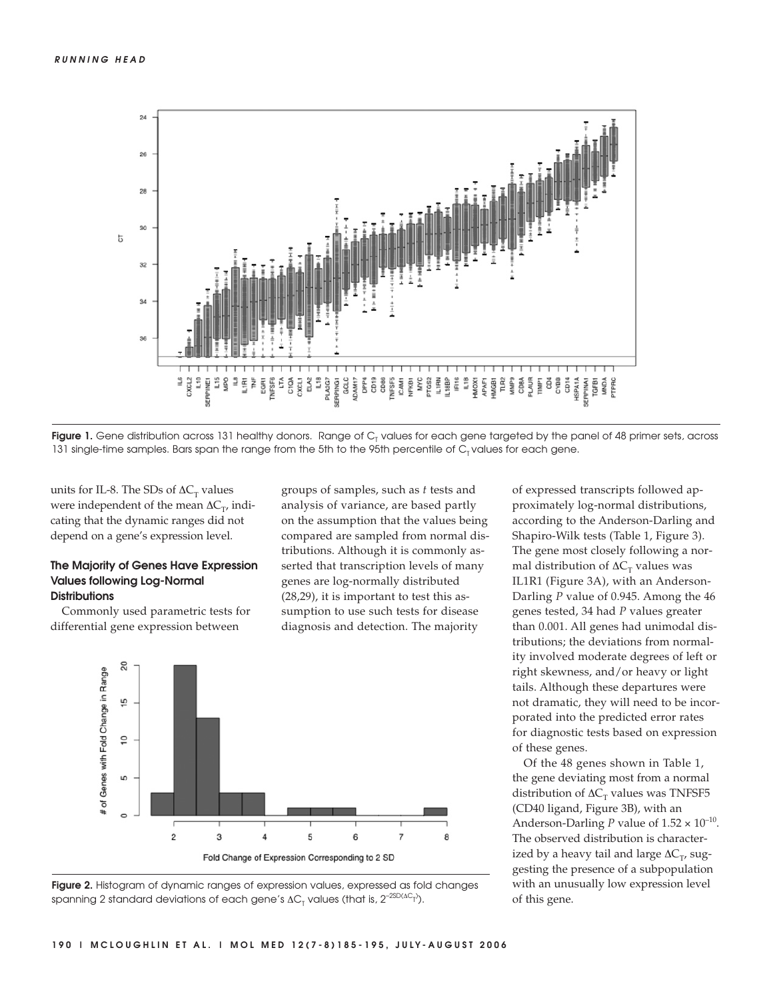



units for IL-8. The SDs of  $\Delta C_T$  values were independent of the mean  $\Delta C_T$ , indicating that the dynamic ranges did not depend on a gene's expression level.

# **The Majority of Genes Have Expression Values following Log-Normal Distributions**

Commonly used parametric tests for differential gene expression between

groups of samples, such as *t* tests and analysis of variance, are based partly on the assumption that the values being compared are sampled from normal distributions. Although it is commonly asserted that transcription levels of many genes are log-normally distributed (28,29), it is important to test this assumption to use such tests for disease diagnosis and detection. The majority





of expressed transcripts followed approximately log-normal distributions, according to the Anderson-Darling and Shapiro-Wilk tests (Table 1, Figure 3). The gene most closely following a normal distribution of  $\Delta C_T$  values was IL1R1 (Figure 3A), with an Anderson-Darling *P* value of 0.945. Among the 46 genes tested, 34 had *P* values greater than 0.001. All genes had unimodal distributions; the deviations from normality involved moderate degrees of left or right skewness, and/or heavy or light tails. Although these departures were not dramatic, they will need to be incorporated into the predicted error rates for diagnostic tests based on expression of these genes.

Of the 48 genes shown in Table 1, the gene deviating most from a normal distribution of  $\Delta C_T$  values was TNFSF5 (CD40 ligand, Figure 3B), with an Anderson-Darling *P* value of  $1.52 \times 10^{-10}$ . The observed distribution is characterized by a heavy tail and large  $\Delta C_T$ , suggesting the presence of a subpopulation with an unusually low expression level of this gene.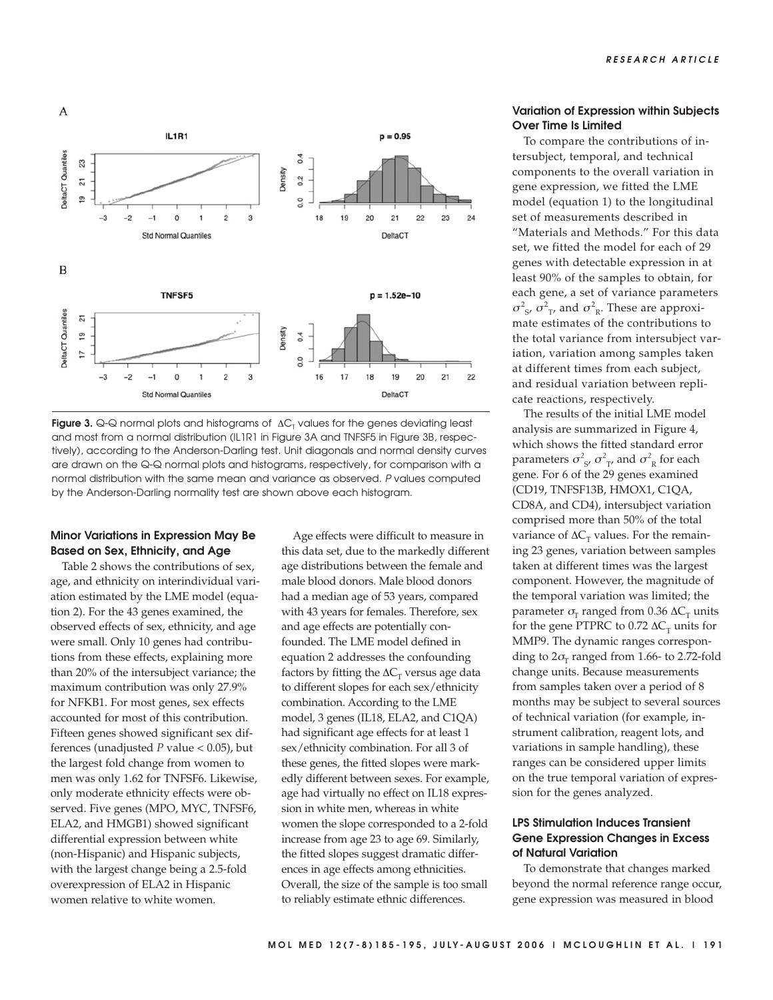

**Figure 3.** Q-Q normal plots and histograms of  $\Delta C<sub>T</sub>$  values for the genes deviating least and most from a normal distribution (IL1R1 in Figure 3A and TNFSF5 in Figure 3B, respectively), according to the Anderson-Darling test. Unit diagonals and normal density curves are drawn on the Q-Q normal plots and histograms, respectively, for comparison with a normal distribution with the same mean and variance as observed. P values computed by the Anderson-Darling normality test are shown above each histogram.

# **Minor Variations in Expression May Be Based on Sex, Ethnicity, and Age**

Table 2 shows the contributions of sex, age, and ethnicity on interindividual variation estimated by the LME model (equation 2). For the 43 genes examined, the observed effects of sex, ethnicity, and age were small. Only 10 genes had contributions from these effects, explaining more than 20% of the intersubject variance; the maximum contribution was only 27.9% for NFKB1. For most genes, sex effects accounted for most of this contribution. Fifteen genes showed significant sex differences (unadjusted *P* value < 0.05), but the largest fold change from women to men was only 1.62 for TNFSF6. Likewise, only moderate ethnicity effects were observed. Five genes (MPO, MYC, TNFSF6, ELA2, and HMGB1) showed significant differential expression between white (non-Hispanic) and Hispanic subjects, with the largest change being a 2.5-fold overexpression of ELA2 in Hispanic women relative to white women.

Age effects were difficult to measure in this data set, due to the markedly different age distributions between the female and male blood donors. Male blood donors had a median age of 53 years, compared with 43 years for females. Therefore, sex and age effects are potentially confounded. The LME model defined in equation 2 addresses the confounding factors by fitting the  $\Delta C_T$  versus age data to different slopes for each sex/ethnicity combination. According to the LME model, 3 genes (IL18, ELA2, and C1QA) had significant age effects for at least 1 sex/ethnicity combination. For all 3 of these genes, the fitted slopes were markedly different between sexes. For example, age had virtually no effect on IL18 expression in white men, whereas in white women the slope corresponded to a 2-fold increase from age 23 to age 69. Similarly, the fitted slopes suggest dramatic differences in age effects among ethnicities. Overall, the size of the sample is too small to reliably estimate ethnic differences.

# **Variation of Expression within Subjects Over Time Is Limited**

To compare the contributions of intersubject, temporal, and technical components to the overall variation in gene expression, we fitted the LME model (equation 1) to the longitudinal set of measurements described in "Materials and Methods." For this data set, we fitted the model for each of 29 genes with detectable expression in at least 90% of the samples to obtain, for each gene, a set of variance parameters  $\sigma_{S'}^2$ ,  $\sigma_{T'}^2$  and  $\sigma_{R}^2$ . These are approximate estimates of the contributions to the total variance from intersubject variation, variation among samples taken at different times from each subject, and residual variation between replicate reactions, respectively.

The results of the initial LME model analysis are summarized in Figure 4, which shows the fitted standard error parameters  $\sigma_{s}^2$ ,  $\sigma_{T}^2$ , and  $\sigma_{R}^2$  for each gene. For 6 of the 29 genes examined (CD19, TNFSF13B, HMOX1, C1QA, CD8A, and CD4), intersubject variation comprised more than 50% of the total variance of  $\Delta C_T$  values. For the remaining 23 genes, variation between samples taken at different times was the largest component. However, the magnitude of the temporal variation was limited; the parameter  $\sigma$ <sub>T</sub> ranged from 0.36  $\Delta C$ <sub>T</sub> units for the gene PTPRC to 0.72  $\Delta C_{\tau}$  units for MMP9. The dynamic ranges corresponding to  $2\sigma_r$  ranged from 1.66- to 2.72-fold change units. Because measurements from samples taken over a period of 8 months may be subject to several sources of technical variation (for example, instrument calibration, reagent lots, and variations in sample handling), these ranges can be considered upper limits on the true temporal variation of expression for the genes analyzed.

# **LPS Stimulation Induces Transient Gene Expression Changes in Excess of Natural Variation**

To demonstrate that changes marked beyond the normal reference range occur, gene expression was measured in blood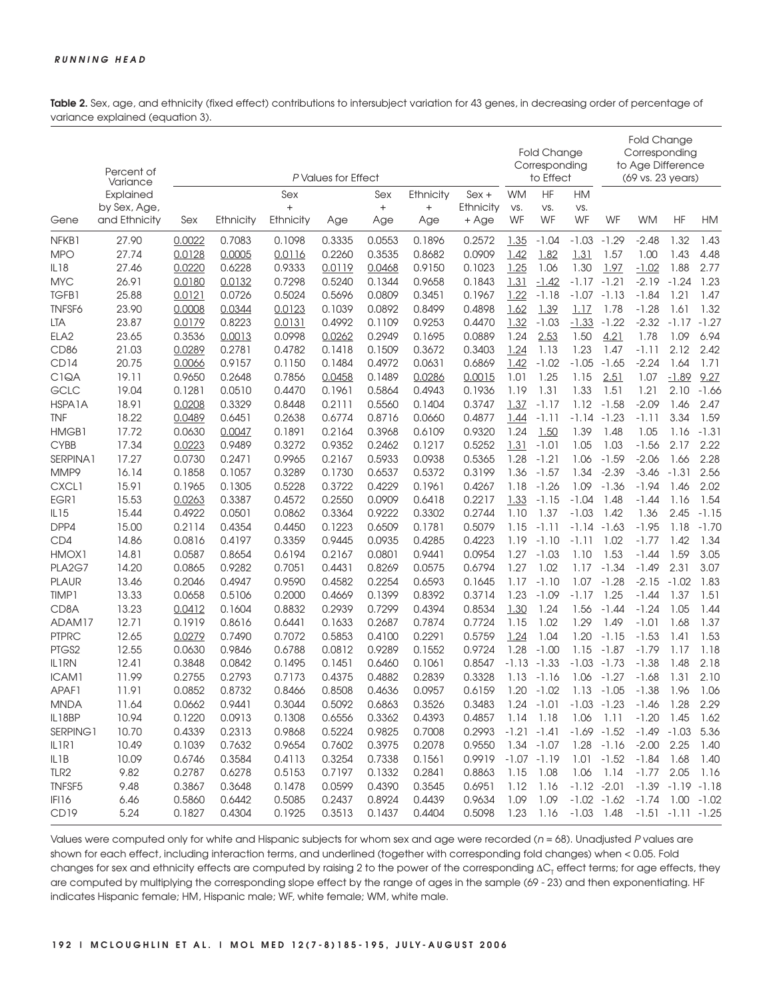Table 2. Sex, age, and ethnicity (fixed effect) contributions to intersubject variation for 43 genes, in decreasing order of percentage of variance explained (equation 3).

|                           | Percent of            | P Values for Effect |                  |                  |                  |                  |                  |                  | <b>Fold Change</b><br>Corresponding<br>to Effect |                       |                | <b>Fold Change</b><br>Corresponding<br>to Age Difference<br>(69 vs. 23 years) |                |                                      |         |
|---------------------------|-----------------------|---------------------|------------------|------------------|------------------|------------------|------------------|------------------|--------------------------------------------------|-----------------------|----------------|-------------------------------------------------------------------------------|----------------|--------------------------------------|---------|
|                           | Variance<br>Explained |                     |                  | Sex              |                  | Sex              | Ethnicity        | $Sex +$          | <b>WM</b>                                        | <b>HF</b>             | <b>HM</b>      |                                                                               |                |                                      |         |
|                           | by Sex, Age,          |                     |                  | $\ddot{}$        |                  | $+$              | $\ddot{}$        | Ethnicity        | VS.                                              | VS.                   | VS.            |                                                                               |                |                                      |         |
| Gene                      | and Ethnicity         | Sex                 | Ethnicity        | Ethnicity        | Age              | Age              | Age              | + Age            | WF                                               | WF                    | WF             | WF                                                                            | <b>WM</b>      | HF                                   | HM      |
| NFKB1                     | 27.90                 | 0.0022              | 0.7083           | 0.1098           | 0.3335           | 0.0553           | 0.1896           | 0.2572           | 1.35                                             | $-1.04$               | $-1.03$        | $-1.29$                                                                       | $-2.48$        | 1.32                                 | 1.43    |
| <b>MPO</b>                | 27.74                 | 0.0128              | 0.0005           | 0.0116           | 0.2260           | 0.3535           | 0.8682           | 0.0909           | 1.42                                             | 1.82                  | 1.31           | 1.57                                                                          | 1.00           | 1.43                                 | 4.48    |
| <b>IL18</b>               | 27.46                 | 0.0220              | 0.6228           | 0.9333           | 0.0119           | 0.0468           | 0.9150           | 0.1023           | 1.25                                             | 1.06                  | 1.30           | 1.97                                                                          | $-1.02$        | 1.88                                 | 2.77    |
| <b>MYC</b>                | 26.91                 | 0.0180              | 0.0132           | 0.7298           | 0.5240           | 0.1344           | 0.9658           | 0.1843           | 1.31                                             | $-1.42$               | $-1.17$        | $-1.21$                                                                       | $-2.19$        | $-1.24$                              | 1.23    |
| <b>TGFB1</b>              | 25.88                 | 0.0121              | 0.0726           | 0.5024           | 0.5696           | 0.0809           | 0.3451           | 0.1967           | 1.22                                             | $-1.18$               | $-1.07$        | -1.13                                                                         | $-1.84$        | 1.21                                 | 1.47    |
| <b>TNFSF6</b>             | 23.90                 | 0.0008              | 0.0344           | 0.0123           | 0.1039           | 0.0892           | 0.8499           | 0.4898           | 1.62                                             | 1.39                  | 1.17           | 1.78                                                                          | $-1.28$        | 1.61                                 | 1.32    |
| LTA                       | 23.87                 | 0.0179              | 0.8223           | 0.0131           | 0.4992           | 0.1109           | 0.9253           | 0.4470           | 1.32                                             | $-1.03$               | $-1.33$        | $-1.22$                                                                       | $-2.32$        | $-1.17$                              | $-1.27$ |
| ELA <sub>2</sub>          | 23.65                 | 0.3536              | 0.0013           | 0.0998           | 0.0262           | 0.2949           | 0.1695           | 0.0889           | 1.24                                             | 2.53                  | 1.50           | 4.21                                                                          | 1.78           | 1.09                                 | 6.94    |
| CD <sub>86</sub>          | 21.03                 | 0.0289              | 0.2781           | 0.4782           | 0.1418           | 0.1509           | 0.3672           | 0.3403           | 1.24                                             | 1.13                  | 1.23           | 1.47                                                                          | -1.11          | 2.12                                 | 2.42    |
| CD <sub>14</sub>          | 20.75                 | 0.0066              | 0.9157           | 0.1150           | 0.1484           | 0.4972           | 0.0631           | 0.6869           | 1.42                                             | $-1.02$               | $-1.05$        | $-1.65$                                                                       | $-2.24$        | 1.64                                 | 1.71    |
| C <sub>1</sub> QA         | 19.11                 | 0.9650              | 0.2648           | 0.7856           | 0.0458           | 0.1489           | 0.0286           | 0.0015           | 1.01                                             | 1.25                  | 1.15           | 2.51                                                                          | 1.07           | $-1.89$                              | 9.27    |
| GCLC                      | 19.04                 | 0.1281              | 0.0510           | 0.4470           | 0.1961           | 0.5864           | 0.4943           | 0.1936           | 1.19                                             | 1.31                  | 1.33           | 1.51                                                                          | 1.21           | 2.10                                 | $-1.66$ |
| HSPA1A                    | 18.91                 | 0.0208              | 0.3329           | 0.8448           | 0.2111           | 0.5560           | 0.1404           | 0.3747           | 1.37                                             | $-1.17$               | 1.12           | $-1.58$                                                                       | $-2.09$        | 1.46                                 | 2.47    |
| <b>TNF</b>                | 18.22                 | 0.0489              | 0.6451           | 0.2638           | 0.6774           | 0.8716           | 0.0660           | 0.4877           | 1.44                                             | $-1.11$               | $-1.14$        | $-1.23$                                                                       | -1.11          | 3.34                                 | 1.59    |
| HMGB1                     | 17.72                 | 0.0630              | 0.0047           | 0.1891           | 0.2164           | 0.3968           | 0.6109           | 0.9320           | 1.24                                             | 1.50                  | 1.39           | 1.48                                                                          | 1.05           | 1.16                                 | $-1.31$ |
| <b>CYBB</b>               | 17.34                 | 0.0223              | 0.9489           | 0.3272           | 0.9352           | 0.2462           | 0.1217           | 0.5252           | 1.31                                             | $-1.01$               | 1.05           | 1.03                                                                          | $-1.56$        | 2.17                                 | 2.22    |
| SERPINA1                  | 17.27                 | 0.0730              | 0.2471           | 0.9965           | 0.2167           | 0.5933           | 0.0938           | 0.5365           | 1.28                                             | $-1.21$               | 1.06           | $-1.59$                                                                       | $-2.06$        | 1.66                                 | 2.28    |
| MMP9                      | 16.14                 | 0.1858              | 0.1057           | 0.3289           | 0.1730           | 0.6537           | 0.5372           | 0.3199           | 1.36                                             | $-1.57$               | 1.34           | $-2.39$                                                                       | $-3.46$        | $-1.31$                              | 2.56    |
| <b>CXCL1</b>              | 15.91                 | 0.1965              | 0.1305           | 0.5228           | 0.3722           | 0.4229           | 0.1961           | 0.4267           | 1.18                                             | $-1.26$               | 1.09           | $-1.36$                                                                       | -1.94          | 1.46                                 | 2.02    |
| EGR1                      | 15.53                 | 0.0263              | 0.3387           | 0.4572           | 0.2550           | 0.0909           | 0.6418           | 0.2217           | 1.33                                             | $-1.15$               | $-1.04$        | 1.48                                                                          | -1.44          | 1.16                                 | 1.54    |
| IL15                      | 15.44                 | 0.4922              | 0.0501           | 0.0862           | 0.3364           | 0.9222           | 0.3302           | 0.2744           | 1.10                                             | 1.37                  | $-1.03$        | 1.42                                                                          | 1.36           | 2.45                                 | $-1.15$ |
| DPP4                      | 15.00                 | 0.2114              | 0.4354           | 0.4450           | 0.1223           | 0.6509           | 0.1781           | 0.5079           | 1.15                                             | $-1.11$               | -1.14          | $-1.63$                                                                       | $-1.95$        | 1.18                                 | $-1.70$ |
| CD4                       | 14.86                 | 0.0816              | 0.4197           | 0.3359           | 0.9445           | 0.0935           | 0.4285           | 0.4223           | 1.19                                             | $-1.10$               | $-1.11$        | 1.02                                                                          | $-1.77$        | 1.42                                 | 1.34    |
| HMOX1                     | 14.81                 | 0.0587              | 0.8654           | 0.6194           | 0.2167           | 0.0801           | 0.9441           | 0.0954           | 1.27                                             | $-1.03$               | 1.10           | 1.53                                                                          | -1.44          | 1.59                                 | 3.05    |
| PLA2G7                    | 14.20                 | 0.0865              | 0.9282           | 0.7051           | 0.4431           | 0.8269           | 0.0575           | 0.6794           | 1.27                                             | 1.02                  | 1.17           | $-1.34$                                                                       | $-1.49$        | 2.31                                 | 3.07    |
| <b>PLAUR</b>              | 13.46                 | 0.2046              | 0.4947           | 0.9590           | 0.4582           | 0.2254           | 0.6593           | 0.1645           | 1.17                                             | $-1.10$               | 1.07           | $-1.28$                                                                       | $-2.15$        | $-1.02$                              | 1.83    |
| TIMP1                     | 13.33                 | 0.0658              | 0.5106           | 0.2000           | 0.4669           | 0.1399           | 0.8392           | 0.3714           | 1.23                                             | $-1.09$               | $-1.17$        | 1.25                                                                          | -1.44          | 1.37                                 | 1.51    |
| CD8A                      | 13.23                 | 0.0412              | 0.1604           | 0.8832           | 0.2939           | 0.7299           | 0.4394           | 0.8534           | 1.30                                             | 1.24                  | 1.56           | -1.44                                                                         | $-1.24$        | 1.05                                 | 1.44    |
| ADAM17                    | 12.71                 | 0.1919              | 0.8616           | 0.6441           | 0.1633           | 0.2687           | 0.7874           | 0.7724           | 1.15                                             | 1.02                  | 1.29           | 1.49                                                                          | $-1.01$        | 1.68                                 | 1.37    |
| <b>PTPRC</b>              | 12.65                 | 0.0279              | 0.7490           | 0.7072           | 0.5853           | 0.4100           | 0.2291           | 0.5759           | 1.24                                             | 1.04                  | 1.20           | $-1.15$                                                                       | $-1.53$        | 1.41                                 | 1.53    |
| PTGS2                     | 12.55                 | 0.0630              | 0.9846           | 0.6788           | 0.0812           | 0.9289           | 0.1552           | 0.9724           | 1.28                                             | $-1.00$               | 1.15           | $-1.87$                                                                       | $-1.79$        | 1.17                                 | 1.18    |
| <b>IL1RN</b>              | 12.41                 | 0.3848              | 0.0842           | 0.1495           | 0.1451           | 0.6460           | 0.1061           | 0.8547           | $-1.13$                                          | $-1.33$               | $-1.03$        | $-1.73$                                                                       | $-1.38$        | 1.48                                 | 2.18    |
| ICAM1                     | 11.99                 | 0.2755              | 0.2793           | 0.7173           | 0.4375           | 0.4882           | 0.2839           | 0.3328           | 1.13                                             | $-1.16$               | 1.06           | $-1.27$                                                                       | $-1.68$        | 1.31                                 | 2.10    |
| APAF1                     | 11.91                 | 0.0852              | 0.8732           | 0.8466           | 0.8508           | 0.4636           | 0.0957           | 0.6159           |                                                  | $1.20 - 1.02$         | 1.13           | $-1.05$                                                                       | $-1.38$        | 1.96                                 | 1.06    |
|                           |                       |                     |                  |                  |                  |                  |                  |                  |                                                  |                       |                |                                                                               |                |                                      |         |
| <b>MNDA</b>               | 11.64                 | 0.0662              | 0.9441           | 0.3044           | 0.5092<br>0.6556 | 0.6863           | 0.3526           | 0.3483<br>0.4857 |                                                  | 1.24 -1.01            | $-1.03 - 1.23$ |                                                                               | $-1.46$ 1.28   |                                      | 2.29    |
| IL18BP                    | 10.94                 | 0.1220              | 0.0913           | 0.1308           |                  | 0.3362           | 0.4393           |                  | 1.14                                             | 1.18<br>$-1.21 -1.41$ | 1.06           | $-1.11$                                                                       | $-1.20$        | 1.45                                 | 1.62    |
| SERPING1                  | 10.70                 | 0.4339              | 0.2313           | 0.9868           | 0.5224           | 0.9825           | 0.7008           | 0.2993           |                                                  |                       |                | $-1.69 - 1.52$                                                                | $-1.49 - 1.03$ |                                      | 5.36    |
| IL1R1                     | 10.49                 | 0.1039              | 0.7632           | 0.9654           | 0.7602           | 0.3975           | 0.2078           | 0.9550           |                                                  | $1.34 - 1.07$         |                | $1.28 - 1.16$                                                                 | $-2.00$        | 2.25                                 | 1.40    |
| IL <sub>1</sub> B         | 10.09                 | 0.6746              | 0.3584           | 0.4113           | 0.3254           | 0.7338           | 0.1561           | 0.9919           |                                                  | $-1.07 - 1.19$        |                | $1.01 - 1.52$                                                                 | $-1.84$        | 1.68                                 | 1.40    |
| TLR <sub>2</sub>          | 9.82                  | 0.2787              | 0.6278           | 0.5153           | 0.7197           | 0.1332           | 0.2841           | 0.8863           | 1.15                                             | 1.08                  | 1.06           | 1.14                                                                          | $-1.77$        | 2.05                                 | 1.16    |
| TNFSF5                    | 9.48                  | 0.3867              | 0.3648           | 0.1478           | 0.0599           | 0.4390           | 0.3545           | 0.6951           | 1.12                                             | 1.16                  | $-1.12 -2.01$  |                                                                               |                | $-1.39 - 1.19 - 1.18$                |         |
| IFI16<br>CD <sub>19</sub> | 6.46<br>5.24          | 0.5860<br>0.1827    | 0.6442<br>0.4304 | 0.5085<br>0.1925 | 0.2437<br>0.3513 | 0.8924<br>0.1437 | 0.4439<br>0.4404 | 0.9634<br>0.5098 | 1.09<br>1.23                                     | 1.09<br>1.16          | $-1.03$ 1.48   | $-1.02 - 1.62$                                                                | $-1.74$        | $1.00 - 1.02$<br>$-1.51 -1.11 -1.25$ |         |
|                           |                       |                     |                  |                  |                  |                  |                  |                  |                                                  |                       |                |                                                                               |                |                                      |         |

Values were computed only for white and Hispanic subjects for whom sex and age were recorded ( $n = 68$ ). Unadjusted P values are shown for each effect, including interaction terms, and underlined (together with corresponding fold changes) when < 0.05. Fold changes for sex and ethnicity effects are computed by raising 2 to the power of the corresponding ΔC<sub>T</sub> effect terms; for age effects, they are computed by multiplying the corresponding slope effect by the range of ages in the sample (69 - 23) and then exponentiating. HF indicates Hispanic female; HM, Hispanic male; WF, white female; WM, white male.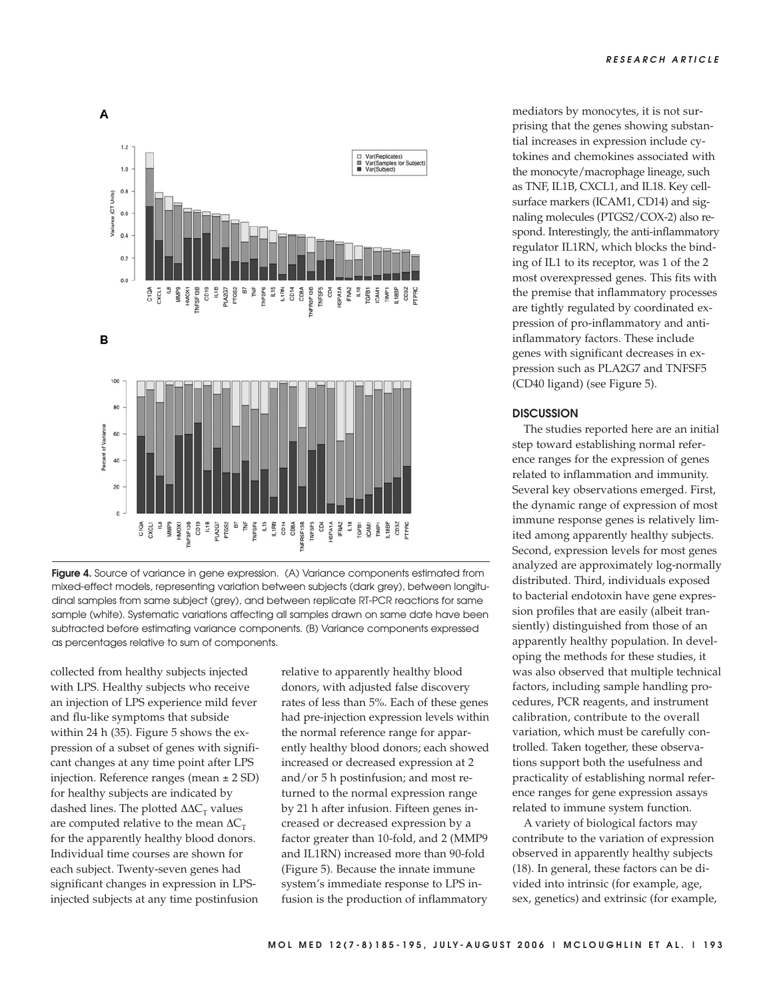



collected from healthy subjects injected with LPS. Healthy subjects who receive an injection of LPS experience mild fever and flu-like symptoms that subside within 24 h (35). Figure 5 shows the expression of a subset of genes with significant changes at any time point after LPS injection. Reference ranges (mean ± 2 SD) for healthy subjects are indicated by dashed lines. The plotted  $\Delta \Delta C_{\text{T}}$  values are computed relative to the mean  $\Delta C_T$ for the apparently healthy blood donors. Individual time courses are shown for each subject. Twenty-seven genes had significant changes in expression in LPSinjected subjects at any time postinfusion

relative to apparently healthy blood donors, with adjusted false discovery rates of less than 5%. Each of these genes had pre-injection expression levels within the normal reference range for apparently healthy blood donors; each showed increased or decreased expression at 2 and/or 5 h postinfusion; and most returned to the normal expression range by 21 h after infusion. Fifteen genes increased or decreased expression by a factor greater than 10-fold, and 2 (MMP9 and IL1RN) increased more than 90-fold (Figure 5). Because the innate immune system's immediate response to LPS infusion is the production of inflammatory

mediators by monocytes, it is not surprising that the genes showing substantial increases in expression include cytokines and chemokines associated with the monocyte/macrophage lineage, such as TNF, IL1B, CXCL1, and IL18. Key cellsurface markers (ICAM1, CD14) and signaling molecules (PTGS2/COX-2) also respond. Interestingly, the anti-inflammatory regulator IL1RN, which blocks the binding of IL1 to its receptor, was 1 of the 2 most overexpressed genes. This fits with the premise that inflammatory processes are tightly regulated by coordinated expression of pro-inflammatory and antiinflammatory factors. These include genes with significant decreases in expression such as PLA2G7 and TNFSF5 (CD40 ligand) (see Figure 5).

#### **DISCUSSION**

The studies reported here are an initial step toward establishing normal reference ranges for the expression of genes related to inflammation and immunity. Several key observations emerged. First, the dynamic range of expression of most immune response genes is relatively limited among apparently healthy subjects. Second, expression levels for most genes analyzed are approximately log-normally distributed. Third, individuals exposed to bacterial endotoxin have gene expression profiles that are easily (albeit transiently) distinguished from those of an apparently healthy population. In developing the methods for these studies, it was also observed that multiple technical factors, including sample handling procedures, PCR reagents, and instrument calibration, contribute to the overall variation, which must be carefully controlled. Taken together, these observations support both the usefulness and practicality of establishing normal reference ranges for gene expression assays related to immune system function.

A variety of biological factors may contribute to the variation of expression observed in apparently healthy subjects (18). In general, these factors can be divided into intrinsic (for example, age, sex, genetics) and extrinsic (for example,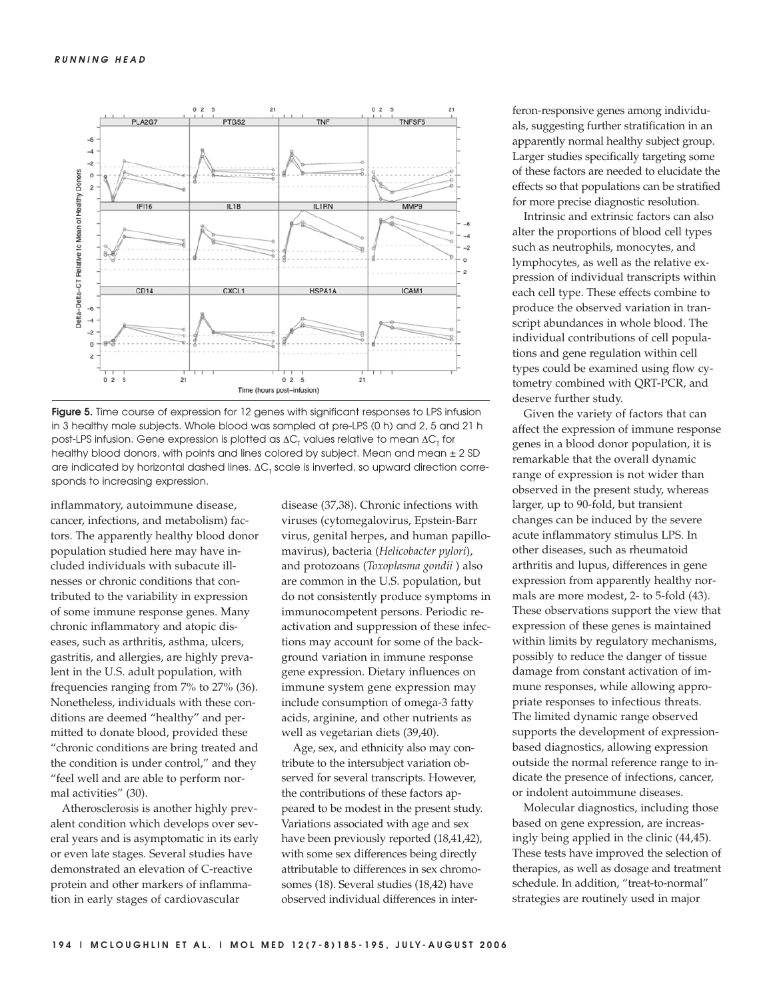

**Figure 5.** Time course of expression for 12 genes with significant responses to LPS infusion in 3 healthy male subjects. Whole blood was sampled at pre-LPS (0 h) and 2, 5 and 21 h post-LPS infusion. Gene expression is plotted as  $\Delta C_{\tau}$  values relative to mean  $\Delta C_{\tau}$  for healthy blood donors, with points and lines colored by subject. Mean and mean ± 2 SD are indicated by horizontal dashed lines.  $\Delta C_T$  scale is inverted, so upward direction corresponds to increasing expression.

inflammatory, autoimmune disease, cancer, infections, and metabolism) factors. The apparently healthy blood donor population studied here may have included individuals with subacute illnesses or chronic conditions that contributed to the variability in expression of some immune response genes. Many chronic inflammatory and atopic diseases, such as arthritis, asthma, ulcers, gastritis, and allergies, are highly prevalent in the U.S. adult population, with frequencies ranging from 7% to 27% (36). Nonetheless, individuals with these conditions are deemed "healthy" and permitted to donate blood, provided these "chronic conditions are bring treated and the condition is under control," and they "feel well and are able to perform normal activities" (30).

Atherosclerosis is another highly prevalent condition which develops over several years and is asymptomatic in its early or even late stages. Several studies have demonstrated an elevation of C-reactive protein and other markers of inflammation in early stages of cardiovascular

disease (37,38). Chronic infections with viruses (cytomegalovirus, Epstein-Barr virus, genital herpes, and human papillomavirus), bacteria (*Helicobacter pylori*), and protozoans (*Toxoplasma gondii* ) also are common in the U.S. population, but do not consistently produce symptoms in immunocompetent persons. Periodic reactivation and suppression of these infections may account for some of the background variation in immune response gene expression. Dietary influences on immune system gene expression may include consumption of omega-3 fatty acids, arginine, and other nutrients as well as vegetarian diets (39,40).

Age, sex, and ethnicity also may contribute to the intersubject variation observed for several transcripts. However, the contributions of these factors appeared to be modest in the present study. Variations associated with age and sex have been previously reported (18,41,42), with some sex differences being directly attributable to differences in sex chromosomes (18). Several studies (18,42) have observed individual differences in interferon-responsive genes among individuals, suggesting further stratification in an apparently normal healthy subject group. Larger studies specifically targeting some of these factors are needed to elucidate the effects so that populations can be stratified for more precise diagnostic resolution.

Intrinsic and extrinsic factors can also alter the proportions of blood cell types such as neutrophils, monocytes, and lymphocytes, as well as the relative expression of individual transcripts within each cell type. These effects combine to produce the observed variation in transcript abundances in whole blood. The individual contributions of cell populations and gene regulation within cell types could be examined using flow cytometry combined with QRT-PCR, and deserve further study.

Given the variety of factors that can affect the expression of immune response genes in a blood donor population, it is remarkable that the overall dynamic range of expression is not wider than observed in the present study, whereas larger, up to 90-fold, but transient changes can be induced by the severe acute inflammatory stimulus LPS. In other diseases, such as rheumatoid arthritis and lupus, differences in gene expression from apparently healthy normals are more modest, 2- to 5-fold (43). These observations support the view that expression of these genes is maintained within limits by regulatory mechanisms, possibly to reduce the danger of tissue damage from constant activation of immune responses, while allowing appropriate responses to infectious threats. The limited dynamic range observed supports the development of expressionbased diagnostics, allowing expression outside the normal reference range to indicate the presence of infections, cancer, or indolent autoimmune diseases.

Molecular diagnostics, including those based on gene expression, are increasingly being applied in the clinic (44,45). These tests have improved the selection of therapies, as well as dosage and treatment schedule. In addition, "treat-to-normal" strategies are routinely used in major